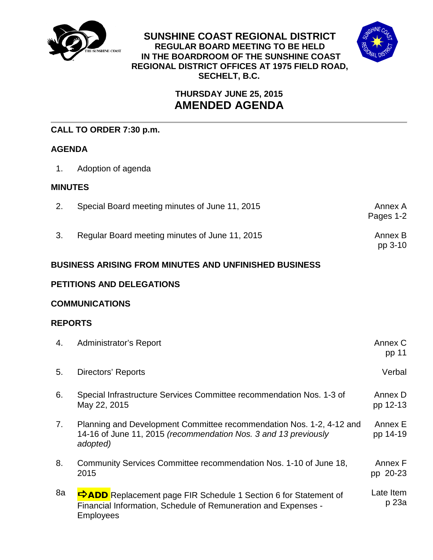

**SUNSHINE COAST REGIONAL DISTRICT REGULAR BOARD MEETING TO BE HELD IN THE BOARDROOM OF THE SUNSHINE COAST REGIONAL DISTRICT OFFICES AT 1975 FIELD ROAD, SECHELT, B.C.**



# **THURSDAY JUNE 25, 2015 AMENDED AGENDA**

# **CALL TO ORDER 7:30 p.m.**

# **AGENDA**

1. Adoption of agenda

#### **MINUTES**

| Special Board meeting minutes of June 11, 2015 | Annex A<br>Pages 1-2 |
|------------------------------------------------|----------------------|
| Regular Board meeting minutes of June 11, 2015 | Annex B<br>$pp$ 3-10 |

# **BUSINESS ARISING FROM MINUTES AND UNFINISHED BUSINESS**

# **PETITIONS AND DELEGATIONS**

# **COMMUNICATIONS**

# **REPORTS**

| 4. | Administrator's Report                                                                                                                                       | Annex C<br>pp 11    |
|----|--------------------------------------------------------------------------------------------------------------------------------------------------------------|---------------------|
| 5. | <b>Directors' Reports</b>                                                                                                                                    | Verbal              |
| 6. | Special Infrastructure Services Committee recommendation Nos. 1-3 of<br>May 22, 2015                                                                         | Annex D<br>pp 12-13 |
| 7. | Planning and Development Committee recommendation Nos. 1-2, 4-12 and<br>14-16 of June 11, 2015 (recommendation Nos. 3 and 13 previously<br>adopted)          | Annex E<br>pp 14-19 |
| 8. | Community Services Committee recommendation Nos. 1-10 of June 18,<br>2015                                                                                    | Annex F<br>pp 20-23 |
| 8a | <b>PADD</b> Replacement page FIR Schedule 1 Section 6 for Statement of<br>Financial Information, Schedule of Remuneration and Expenses -<br><b>Employees</b> | Late Item<br>p 23a  |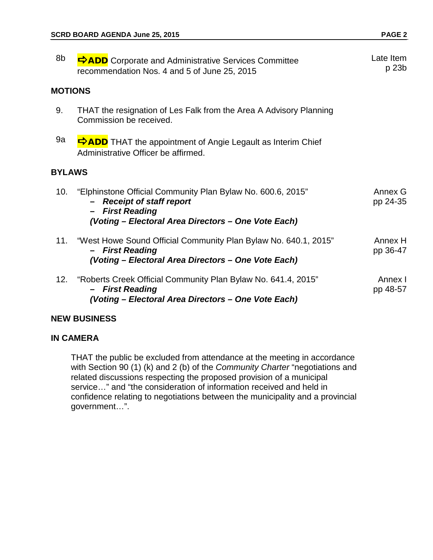| 8b             | <b>DADD</b> Corporate and Administrative Services Committee<br>recommendation Nos. 4 and 5 of June 25, 2015                                                                  | Late Item<br>p 23b  |
|----------------|------------------------------------------------------------------------------------------------------------------------------------------------------------------------------|---------------------|
| <b>MOTIONS</b> |                                                                                                                                                                              |                     |
| 9.             | THAT the resignation of Les Falk from the Area A Advisory Planning<br>Commission be received.                                                                                |                     |
| 9a             | <b>SADD</b> THAT the appointment of Angie Legault as Interim Chief<br>Administrative Officer be affirmed.                                                                    |                     |
| <b>BYLAWS</b>  |                                                                                                                                                                              |                     |
| 10.            | "Elphinstone Official Community Plan Bylaw No. 600.6, 2015"<br><b>Receipt of staff report</b><br><b>First Reading</b><br>(Voting - Electoral Area Directors - One Vote Each) | Annex G<br>pp 24-35 |
| 11.            | "West Howe Sound Official Community Plan Bylaw No. 640.1, 2015"<br><b>First Reading</b><br>(Voting - Electoral Area Directors - One Vote Each)                               | Annex H<br>pp 36-47 |
|                | 12. "Roberts Creek Official Community Plan Bylaw No. 641.4, 2015"<br><b>First Reading</b><br>(Voting - Electoral Area Directors - One Vote Each)                             | Annex I<br>pp 48-57 |

#### **NEW BUSINESS**

#### **IN CAMERA**

THAT the public be excluded from attendance at the meeting in accordance with Section 90 (1) (k) and 2 (b) of the *Community Charter* "negotiations and related discussions respecting the proposed provision of a municipal service…" and "the consideration of information received and held in confidence relating to negotiations between the municipality and a provincial government…".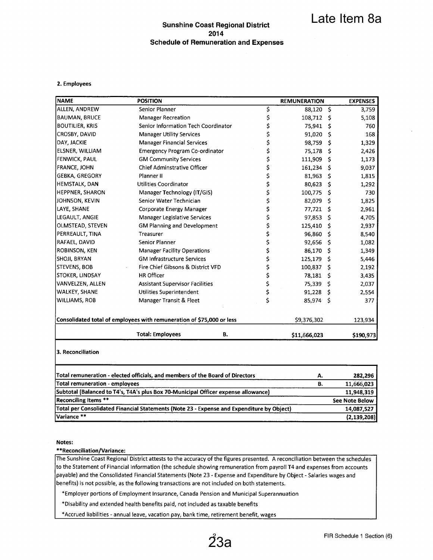#### **Sunshine Coast Regional District** 2014 **Schedule of Remuneration and Expenses**

#### 2. Employees

|                        | <b>POSITION</b>                                                       |    | <b>REMUNERATION</b> |     | <b>EXPENSES</b> |
|------------------------|-----------------------------------------------------------------------|----|---------------------|-----|-----------------|
| <b>ALLEN, ANDREW</b>   | Senior Planner                                                        | \$ | 88,120              | \$  | 3,759           |
| <b>BAUMAN, BRUCE</b>   | <b>Manager Recreation</b>                                             | \$ | 108,712             | Ŝ   | 5,108           |
| <b>BOUTILIER, KRIS</b> | Senior Information Tech Coordinator                                   | \$ | 75,941              | \$. | 760             |
| <b>CROSBY, DAVID</b>   | <b>Manager Utility Services</b>                                       | \$ | 91,020              | \$  | 168             |
| DAY, JACKIE            | <b>Manager Financial Services</b>                                     | \$ | 98,759              | -S  | 1,329           |
| ELSNER, WILLIAM        | <b>Emergency Program Co-ordinator</b>                                 | \$ | 75,178              | Ŝ.  | 2,426           |
| <b>FENWICK, PAUL</b>   | <b>GM Community Services</b>                                          | \$ | 111,909             | \$. | 1,173           |
| <b>FRANCE, JOHN</b>    | Chief Adminstrative Officer                                           | \$ | 161,234             | S   | 9,037           |
| <b>GEBKA, GREGORY</b>  | Planner II                                                            | \$ | 81,963              | Ś   | 1,815           |
| <b>HEMSTALK, DAN</b>   | <b>Utilities Coordinator</b>                                          | \$ | 80,623              | s   | 1,292           |
| <b>HEPPNER, SHARON</b> | Manager Technology (IT/GIS)                                           | \$ | 100,775             | s   | 730             |
| JOHNSON, KEVIN         | Senior Water Technician                                               | \$ | 82,079              | s   | 1,825           |
| LAYE, SHANE            | Corporate Energy Manager                                              | \$ | 77,721              | \$. | 2,961           |
| LEGAULT, ANGIE         | <b>Manager Legislative Services</b>                                   | \$ | 97,853              | \$  | 4,705           |
| OLMSTEAD, STEVEN       | <b>GM Planning and Development</b>                                    | \$ | 125,410             | \$  | 2,937           |
| PERREAULT, TINA        | Treasurer                                                             | \$ | 96,860              | Ŝ   | 8,540           |
| <b>RAFAEL, DAVID</b>   | Senior Planner                                                        | \$ | 92,656              | \$  | 1,082           |
| ROBINSON, KEN          | <b>Manager Facility Operations</b>                                    | \$ | 86,170              | Ŝ   | 1,349           |
| <b>SHOJI, BRYAN</b>    | <b>GM Infrastructure Services</b>                                     | \$ | 125,179             | -Ŝ  | 5,446           |
| <b>STEVENS, BOB</b>    | Fire Chief Gibsons & District VFD                                     | \$ | 100,837             | Ŝ   | 2,192           |
| STOKER, LINDSAY        | <b>HR Officer</b>                                                     | \$ | 78,181              | Ŝ   | 3,435           |
| VANVELZEN, ALLEN       | <b>Assistant Supervisor Facilities</b>                                | \$ | 75,339              | -S  | 2,037           |
| <b>WALKEY, SHANE</b>   | Utilities Superintendent                                              | \$ | 91,228              | -S  | 2,554           |
| <b>WILLIAMS, ROB</b>   | Manager Transit & Fleet                                               | \$ | 85,974 \$           |     | 377             |
|                        | Consolidated total of employees with remuneration of \$75,000 or less |    | \$9,376,302         |     | 123,934         |
|                        | <b>Total: Employees</b>                                               | В. | \$11,666,023        |     | \$190,973       |

| Total remuneration - elected officials, and members of the Board of Directors             |    | 282,296        |
|-------------------------------------------------------------------------------------------|----|----------------|
| Total remuneration - employees                                                            | в. | 11,666,023     |
| Subtotal (Balanced to T4's, T4A's plus Box 70-Municipal Officer expense allowance)        |    | 11,948,319     |
| Reconciling Items **                                                                      |    | See Note Below |
| Total per Consolidated Financial Statements (Note 23 - Expense and Expenditure by Object) |    | 14,087,527     |
| lVariance **                                                                              |    | (2, 139, 208)  |

#### Notes:

#### \*\*Reconciliation/Variance:

The Sunshine Coast Regional District attests to the accuracy of the figures presented. A reconciliation between the schedules to the Statement of Financial Information (the schedule showing remuneration from payroll T4 and expenses from accounts payable) and the Consolidated Financial Statements (Note 23 - Expense and Expenditure by Object - Salaries wages and benefits) is not possible, as the following transactions are not included on both statements.

\*Employer portions of Employment Insurance, Canada Pension and Municipal Superannuation

\*Disability and extended health benefits paid, not included as taxable benefits

\*Accrued liabilities - annual leave, vacation pay, bank time, retirement benefit, wages